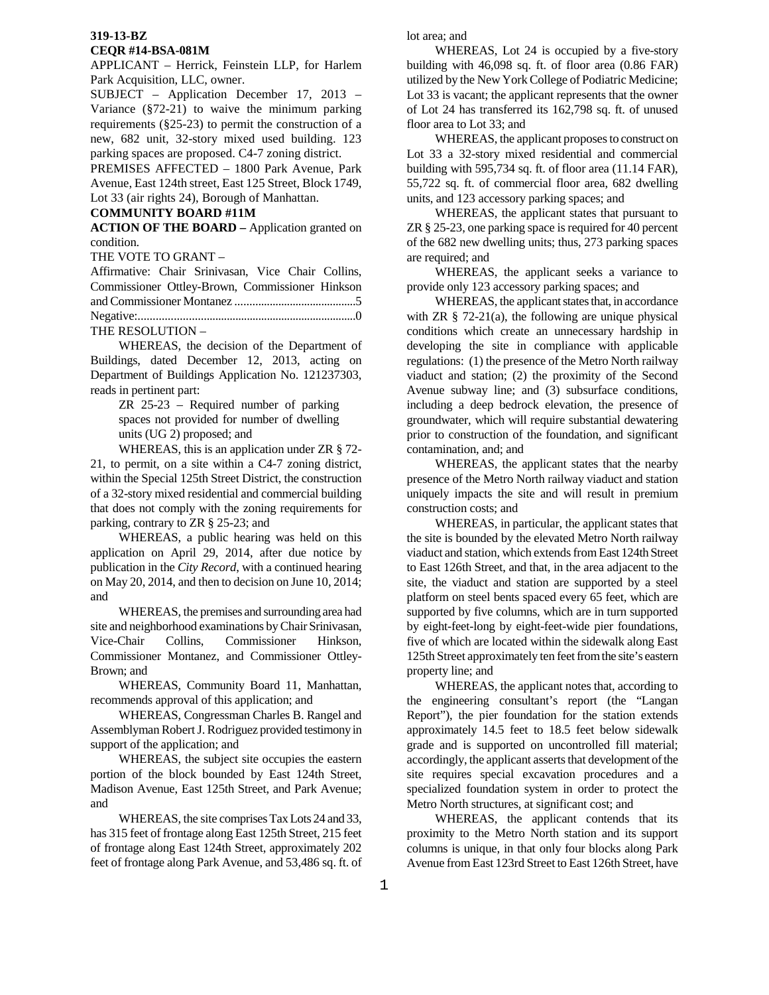## **319-13-BZ**

#### **CEQR #14-BSA-081M**

APPLICANT – Herrick, Feinstein LLP, for Harlem Park Acquisition, LLC, owner.

SUBJECT – Application December 17, 2013 – Variance (§72-21) to waive the minimum parking requirements (§25-23) to permit the construction of a new, 682 unit, 32-story mixed used building. 123 parking spaces are proposed. C4-7 zoning district.

PREMISES AFFECTED – 1800 Park Avenue, Park Avenue, East 124th street, East 125 Street, Block 1749, Lot 33 (air rights 24), Borough of Manhattan.

### **COMMUNITY BOARD #11M**

**ACTION OF THE BOARD –** Application granted on condition.

THE VOTE TO GRANT –

Affirmative: Chair Srinivasan, Vice Chair Collins, Commissioner Ottley-Brown, Commissioner Hinkson and Commissioner Montanez ..........................................5 Negative:...........................................................................0 THE RESOLUTION –

WHEREAS, the decision of the Department of Buildings, dated December 12, 2013, acting on Department of Buildings Application No. 121237303, reads in pertinent part:

> ZR 25-23 – Required number of parking spaces not provided for number of dwelling units (UG 2) proposed; and

 WHEREAS, this is an application under ZR § 72- 21, to permit, on a site within a C4-7 zoning district, within the Special 125th Street District, the construction of a 32-story mixed residential and commercial building that does not comply with the zoning requirements for parking, contrary to ZR § 25-23; and

 WHEREAS, a public hearing was held on this application on April 29, 2014, after due notice by publication in the *City Record*, with a continued hearing on May 20, 2014, and then to decision on June 10, 2014; and

 WHEREAS, the premises and surrounding area had site and neighborhood examinations by Chair Srinivasan, Vice-Chair Collins, Commissioner Hinkson, Commissioner Montanez, and Commissioner Ottley-Brown; and

 WHEREAS, Community Board 11, Manhattan, recommends approval of this application; and

 WHEREAS, Congressman Charles B. Rangel and Assemblyman Robert J. Rodriguez provided testimony in support of the application; and

 WHEREAS, the subject site occupies the eastern portion of the block bounded by East 124th Street, Madison Avenue, East 125th Street, and Park Avenue; and

 WHEREAS, the site comprises Tax Lots 24 and 33, has 315 feet of frontage along East 125th Street, 215 feet of frontage along East 124th Street, approximately 202 feet of frontage along Park Avenue, and 53,486 sq. ft. of lot area; and

 WHEREAS, Lot 24 is occupied by a five-story building with 46,098 sq. ft. of floor area (0.86 FAR) utilized by the New York College of Podiatric Medicine; Lot 33 is vacant; the applicant represents that the owner of Lot 24 has transferred its 162,798 sq. ft. of unused floor area to Lot 33; and

 WHEREAS, the applicant proposes to construct on Lot 33 a 32-story mixed residential and commercial building with 595,734 sq. ft. of floor area (11.14 FAR), 55,722 sq. ft. of commercial floor area, 682 dwelling units, and 123 accessory parking spaces; and

 WHEREAS, the applicant states that pursuant to ZR § 25-23, one parking space is required for 40 percent of the 682 new dwelling units; thus, 273 parking spaces are required; and

 WHEREAS, the applicant seeks a variance to provide only 123 accessory parking spaces; and

 WHEREAS, the applicant states that, in accordance with  $ZR \S$  72-21(a), the following are unique physical conditions which create an unnecessary hardship in developing the site in compliance with applicable regulations: (1) the presence of the Metro North railway viaduct and station; (2) the proximity of the Second Avenue subway line; and (3) subsurface conditions, including a deep bedrock elevation, the presence of groundwater, which will require substantial dewatering prior to construction of the foundation, and significant contamination, and; and

 WHEREAS, the applicant states that the nearby presence of the Metro North railway viaduct and station uniquely impacts the site and will result in premium construction costs; and

 WHEREAS, in particular, the applicant states that the site is bounded by the elevated Metro North railway viaduct and station, which extends from East 124th Street to East 126th Street, and that, in the area adjacent to the site, the viaduct and station are supported by a steel platform on steel bents spaced every 65 feet, which are supported by five columns, which are in turn supported by eight-feet-long by eight-feet-wide pier foundations, five of which are located within the sidewalk along East 125th Street approximately ten feet from the site's eastern property line; and

 WHEREAS, the applicant notes that, according to the engineering consultant's report (the "Langan Report"), the pier foundation for the station extends approximately 14.5 feet to 18.5 feet below sidewalk grade and is supported on uncontrolled fill material; accordingly, the applicant asserts that development of the site requires special excavation procedures and a specialized foundation system in order to protect the Metro North structures, at significant cost; and

 WHEREAS, the applicant contends that its proximity to the Metro North station and its support columns is unique, in that only four blocks along Park Avenue from East 123rd Street to East 126th Street, have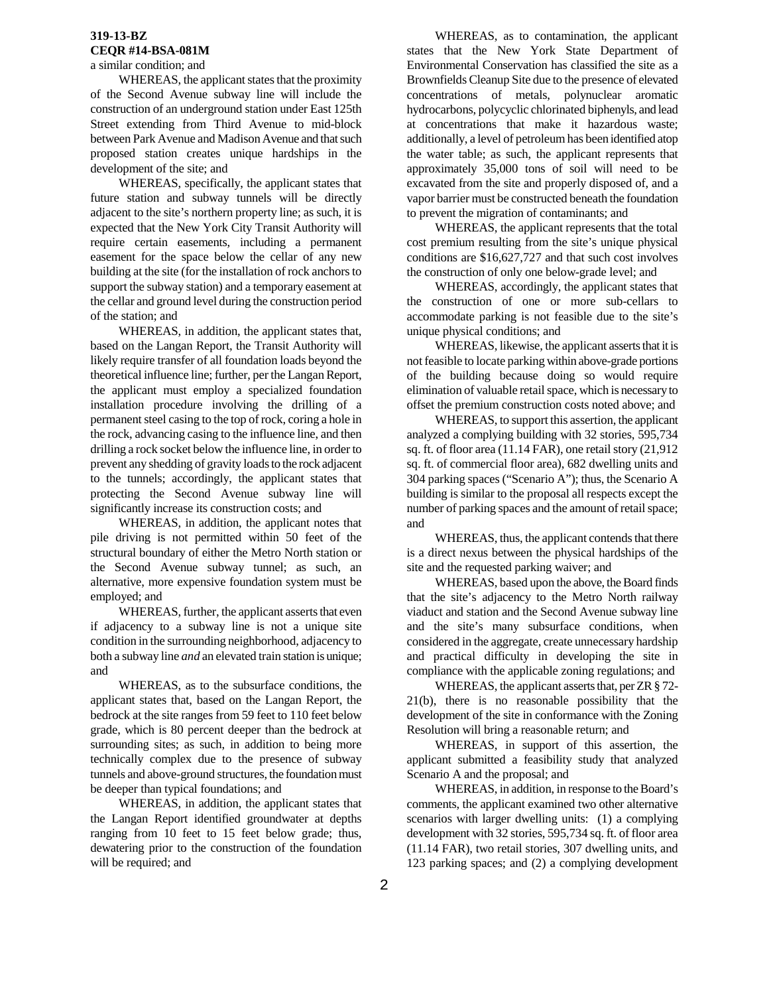#### **319-13-BZ CEQR #14-BSA-081M**

a similar condition; and

 WHEREAS, the applicant states that the proximity of the Second Avenue subway line will include the construction of an underground station under East 125th Street extending from Third Avenue to mid-block between Park Avenue and Madison Avenue and that such proposed station creates unique hardships in the development of the site; and

 WHEREAS, specifically, the applicant states that future station and subway tunnels will be directly adjacent to the site's northern property line; as such, it is expected that the New York City Transit Authority will require certain easements, including a permanent easement for the space below the cellar of any new building at the site (for the installation of rock anchors to support the subway station) and a temporary easement at the cellar and ground level during the construction period of the station; and

 WHEREAS, in addition, the applicant states that, based on the Langan Report, the Transit Authority will likely require transfer of all foundation loads beyond the theoretical influence line; further, per the Langan Report, the applicant must employ a specialized foundation installation procedure involving the drilling of a permanent steel casing to the top of rock, coring a hole in the rock, advancing casing to the influence line, and then drilling a rock socket below the influence line, in order to prevent any shedding of gravity loads to the rock adjacent to the tunnels; accordingly, the applicant states that protecting the Second Avenue subway line will significantly increase its construction costs; and

 WHEREAS, in addition, the applicant notes that pile driving is not permitted within 50 feet of the structural boundary of either the Metro North station or the Second Avenue subway tunnel; as such, an alternative, more expensive foundation system must be employed; and

 WHEREAS, further, the applicant asserts that even if adjacency to a subway line is not a unique site condition in the surrounding neighborhood, adjacency to both a subway line *and* an elevated train station is unique; and

 WHEREAS, as to the subsurface conditions, the applicant states that, based on the Langan Report, the bedrock at the site ranges from 59 feet to 110 feet below grade, which is 80 percent deeper than the bedrock at surrounding sites; as such, in addition to being more technically complex due to the presence of subway tunnels and above-ground structures, the foundation must be deeper than typical foundations; and

 WHEREAS, in addition, the applicant states that the Langan Report identified groundwater at depths ranging from 10 feet to 15 feet below grade; thus, dewatering prior to the construction of the foundation will be required; and

 WHEREAS, as to contamination, the applicant states that the New York State Department of Environmental Conservation has classified the site as a Brownfields Cleanup Site due to the presence of elevated concentrations of metals, polynuclear aromatic hydrocarbons, polycyclic chlorinated biphenyls, and lead at concentrations that make it hazardous waste; additionally, a level of petroleum has been identified atop the water table; as such, the applicant represents that approximately 35,000 tons of soil will need to be excavated from the site and properly disposed of, and a vapor barrier must be constructed beneath the foundation to prevent the migration of contaminants; and

 WHEREAS, the applicant represents that the total cost premium resulting from the site's unique physical conditions are \$16,627,727 and that such cost involves the construction of only one below-grade level; and

 WHEREAS, accordingly, the applicant states that the construction of one or more sub-cellars to accommodate parking is not feasible due to the site's unique physical conditions; and

 WHEREAS, likewise, the applicant asserts that it is not feasible to locate parking within above-grade portions of the building because doing so would require elimination of valuable retail space, which is necessary to offset the premium construction costs noted above; and

 WHEREAS, to support this assertion, the applicant analyzed a complying building with 32 stories, 595,734 sq. ft. of floor area (11.14 FAR), one retail story (21,912 sq. ft. of commercial floor area), 682 dwelling units and 304 parking spaces ("Scenario A"); thus, the Scenario A building is similar to the proposal all respects except the number of parking spaces and the amount of retail space; and

 WHEREAS, thus, the applicant contends that there is a direct nexus between the physical hardships of the site and the requested parking waiver; and

 WHEREAS, based upon the above, the Board finds that the site's adjacency to the Metro North railway viaduct and station and the Second Avenue subway line and the site's many subsurface conditions, when considered in the aggregate, create unnecessary hardship and practical difficulty in developing the site in compliance with the applicable zoning regulations; and

 WHEREAS, the applicant asserts that, per ZR § 72- 21(b), there is no reasonable possibility that the development of the site in conformance with the Zoning Resolution will bring a reasonable return; and

 WHEREAS, in support of this assertion, the applicant submitted a feasibility study that analyzed Scenario A and the proposal; and

 WHEREAS, in addition, in response to the Board's comments, the applicant examined two other alternative scenarios with larger dwelling units: (1) a complying development with 32 stories, 595,734 sq. ft. of floor area (11.14 FAR), two retail stories, 307 dwelling units, and 123 parking spaces; and (2) a complying development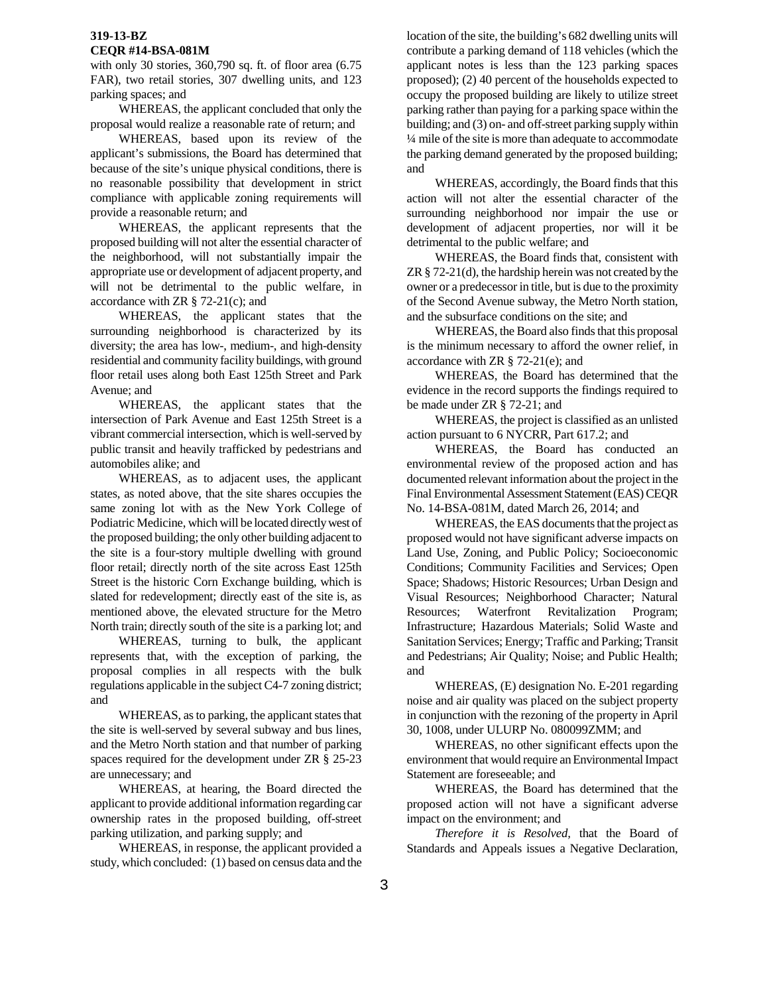# **319-13-BZ**

#### **CEQR #14-BSA-081M**

with only 30 stories, 360,790 sq. ft. of floor area (6.75 FAR), two retail stories, 307 dwelling units, and 123 parking spaces; and

 WHEREAS, the applicant concluded that only the proposal would realize a reasonable rate of return; and

 WHEREAS, based upon its review of the applicant's submissions, the Board has determined that because of the site's unique physical conditions, there is no reasonable possibility that development in strict compliance with applicable zoning requirements will provide a reasonable return; and

 WHEREAS, the applicant represents that the proposed building will not alter the essential character of the neighborhood, will not substantially impair the appropriate use or development of adjacent property, and will not be detrimental to the public welfare, in accordance with ZR § 72-21(c); and

 WHEREAS, the applicant states that the surrounding neighborhood is characterized by its diversity; the area has low-, medium-, and high-density residential and community facility buildings, with ground floor retail uses along both East 125th Street and Park Avenue; and

 WHEREAS, the applicant states that the intersection of Park Avenue and East 125th Street is a vibrant commercial intersection, which is well-served by public transit and heavily trafficked by pedestrians and automobiles alike; and

 WHEREAS, as to adjacent uses, the applicant states, as noted above, that the site shares occupies the same zoning lot with as the New York College of Podiatric Medicine, which will be located directly west of the proposed building; the only other building adjacent to the site is a four-story multiple dwelling with ground floor retail; directly north of the site across East 125th Street is the historic Corn Exchange building, which is slated for redevelopment; directly east of the site is, as mentioned above, the elevated structure for the Metro North train; directly south of the site is a parking lot; and

 WHEREAS, turning to bulk, the applicant represents that, with the exception of parking, the proposal complies in all respects with the bulk regulations applicable in the subject C4-7 zoning district; and

 WHEREAS, as to parking, the applicant states that the site is well-served by several subway and bus lines, and the Metro North station and that number of parking spaces required for the development under ZR § 25-23 are unnecessary; and

 WHEREAS, at hearing, the Board directed the applicant to provide additional information regarding car ownership rates in the proposed building, off-street parking utilization, and parking supply; and

 WHEREAS, in response, the applicant provided a study, which concluded: (1) based on census data and the location of the site, the building's 682 dwelling units will contribute a parking demand of 118 vehicles (which the applicant notes is less than the 123 parking spaces proposed); (2) 40 percent of the households expected to occupy the proposed building are likely to utilize street parking rather than paying for a parking space within the building; and (3) on- and off-street parking supply within ¼ mile of the site is more than adequate to accommodate the parking demand generated by the proposed building; and

 WHEREAS, accordingly, the Board finds that this action will not alter the essential character of the surrounding neighborhood nor impair the use or development of adjacent properties, nor will it be detrimental to the public welfare; and

 WHEREAS, the Board finds that, consistent with ZR § 72-21(d), the hardship herein was not created by the owner or a predecessor in title, but is due to the proximity of the Second Avenue subway, the Metro North station, and the subsurface conditions on the site; and

 WHEREAS, the Board also finds that this proposal is the minimum necessary to afford the owner relief, in accordance with ZR § 72-21(e); and

 WHEREAS, the Board has determined that the evidence in the record supports the findings required to be made under ZR § 72-21; and

 WHEREAS, the project is classified as an unlisted action pursuant to 6 NYCRR, Part 617.2; and

 WHEREAS, the Board has conducted an environmental review of the proposed action and has documented relevant information about the project in the Final Environmental Assessment Statement (EAS) CEQR No. 14-BSA-081M, dated March 26, 2014; and

 WHEREAS, the EAS documents that the project as proposed would not have significant adverse impacts on Land Use, Zoning, and Public Policy; Socioeconomic Conditions; Community Facilities and Services; Open Space; Shadows; Historic Resources; Urban Design and Visual Resources; Neighborhood Character; Natural Resources; Waterfront Revitalization Program; Infrastructure; Hazardous Materials; Solid Waste and Sanitation Services; Energy; Traffic and Parking; Transit and Pedestrians; Air Quality; Noise; and Public Health; and

 WHEREAS, (E) designation No. E-201 regarding noise and air quality was placed on the subject property in conjunction with the rezoning of the property in April 30, 1008, under ULURP No. 080099ZMM; and

 WHEREAS, no other significant effects upon the environment that would require an Environmental Impact Statement are foreseeable; and

 WHEREAS, the Board has determined that the proposed action will not have a significant adverse impact on the environment; and

*Therefore it is Resolved,* that the Board of Standards and Appeals issues a Negative Declaration,